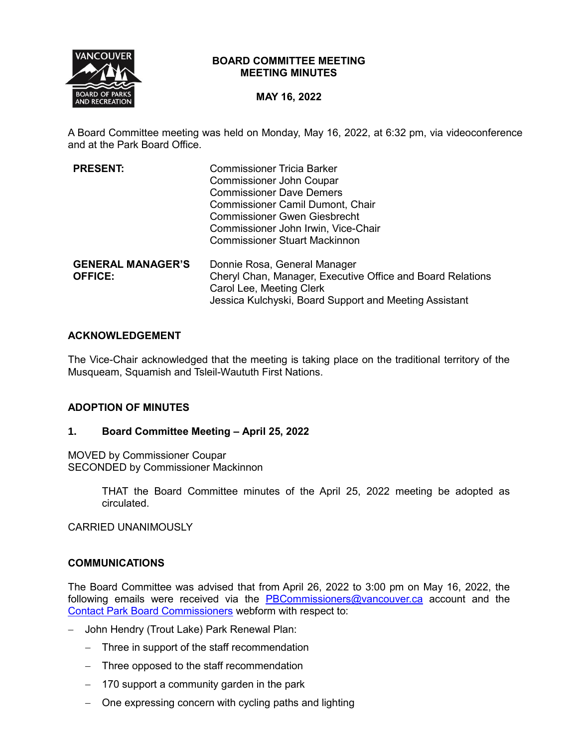

## **BOARD COMMITTEE MEETING MEETING MINUTES**

# **MAY 16, 2022**

A Board Committee meeting was held on Monday, May 16, 2022, at 6:32 pm, via videoconference and at the Park Board Office.

| <b>PRESENT:</b>          | <b>Commissioner Tricia Barker</b>                          |
|--------------------------|------------------------------------------------------------|
|                          | <b>Commissioner John Coupar</b>                            |
|                          | <b>Commissioner Dave Demers</b>                            |
|                          | <b>Commissioner Camil Dumont, Chair</b>                    |
|                          | <b>Commissioner Gwen Giesbrecht</b>                        |
|                          | Commissioner John Irwin, Vice-Chair                        |
|                          | <b>Commissioner Stuart Mackinnon</b>                       |
| <b>GENERAL MANAGER'S</b> | Donnie Rosa, General Manager                               |
| <b>OFFICE:</b>           | Cheryl Chan, Manager, Executive Office and Board Relations |
|                          | Carol Lee, Meeting Clerk                                   |
|                          | Jessica Kulchyski, Board Support and Meeting Assistant     |

## **ACKNOWLEDGEMENT**

The Vice-Chair acknowledged that the meeting is taking place on the traditional territory of the Musqueam, Squamish and Tsleil-Waututh First Nations.

# **ADOPTION OF MINUTES**

### **1. Board Committee Meeting – April 25, 2022**

MOVED by Commissioner Coupar SECONDED by Commissioner Mackinnon

> THAT the Board Committee minutes of the April 25, 2022 meeting be adopted as circulated.

CARRIED UNANIMOUSLY

### **COMMUNICATIONS**

The Board Committee was advised that from April 26, 2022 to 3:00 pm on May 16, 2022, the following emails were received via the [PBCommissioners@vancouver.ca](mailto:PBCommissioners@vancouver.ca) account and the [Contact Park Board Commissioners](https://vancouver.ca/your-government/contact-park-board.aspx) webform with respect to:

- John Hendry (Trout Lake) Park Renewal Plan:
	- Three in support of the staff recommendation
	- Three opposed to the staff recommendation
	- $-$  170 support a community garden in the park
	- One expressing concern with cycling paths and lighting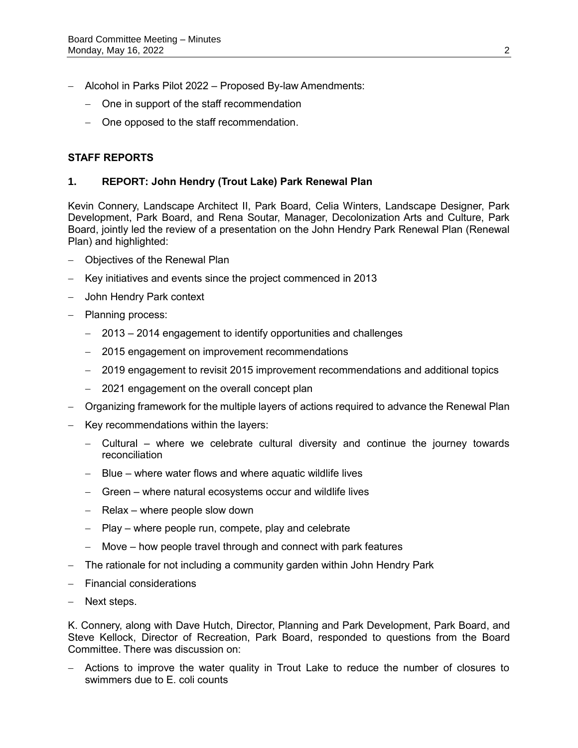- Alcohol in Parks Pilot 2022 Proposed By-law Amendments:
	- One in support of the staff recommendation
	- One opposed to the staff recommendation.

# **STAFF REPORTS**

### **1. REPORT: John Hendry (Trout Lake) Park Renewal Plan**

Kevin Connery, Landscape Architect II, Park Board, Celia Winters, Landscape Designer, Park Development, Park Board, and Rena Soutar, Manager, Decolonization Arts and Culture, Park Board, jointly led the review of a presentation on the John Hendry Park Renewal Plan (Renewal Plan) and highlighted:

- Objectives of the Renewal Plan
- Key initiatives and events since the project commenced in 2013
- John Hendry Park context
- Planning process:
	- 2013 2014 engagement to identify opportunities and challenges
	- 2015 engagement on improvement recommendations
	- 2019 engagement to revisit 2015 improvement recommendations and additional topics
	- 2021 engagement on the overall concept plan
- Organizing framework for the multiple layers of actions required to advance the Renewal Plan
- Key recommendations within the layers:
	- Cultural where we celebrate cultural diversity and continue the journey towards reconciliation
	- Blue where water flows and where aquatic wildlife lives
	- Green where natural ecosystems occur and wildlife lives
	- $-$  Relax where people slow down
	- $-$  Play where people run, compete, play and celebrate
	- Move how people travel through and connect with park features
- The rationale for not including a community garden within John Hendry Park
- Financial considerations
- Next steps.

K. Connery, along with Dave Hutch, Director, Planning and Park Development, Park Board, and Steve Kellock, Director of Recreation, Park Board, responded to questions from the Board Committee. There was discussion on:

 Actions to improve the water quality in Trout Lake to reduce the number of closures to swimmers due to E. coli counts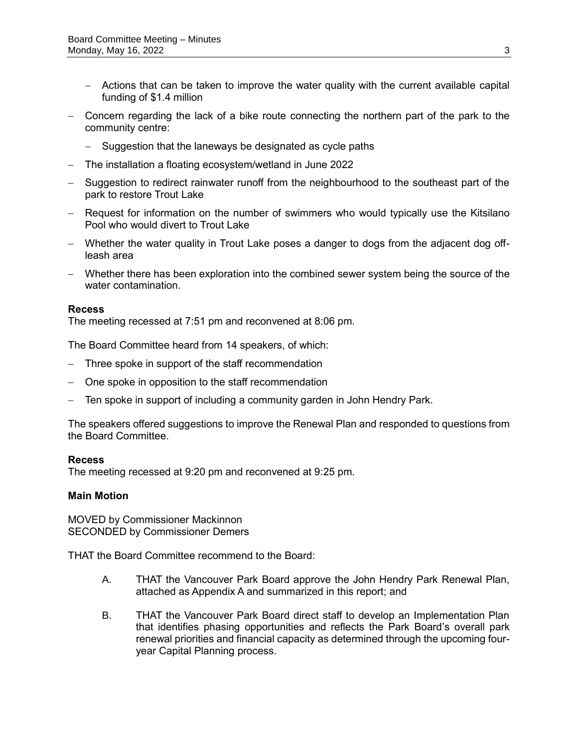- Actions that can be taken to improve the water quality with the current available capital funding of \$1.4 million
- Concern regarding the lack of a bike route connecting the northern part of the park to the community centre:
	- Suggestion that the laneways be designated as cycle paths
- The installation a floating ecosystem/wetland in June 2022
- Suggestion to redirect rainwater runoff from the neighbourhood to the southeast part of the park to restore Trout Lake
- Request for information on the number of swimmers who would typically use the Kitsilano Pool who would divert to Trout Lake
- Whether the water quality in Trout Lake poses a danger to dogs from the adjacent dog offleash area
- Whether there has been exploration into the combined sewer system being the source of the water contamination.

### **Recess**

The meeting recessed at 7:51 pm and reconvened at 8:06 pm.

The Board Committee heard from 14 speakers, of which:

- Three spoke in support of the staff recommendation
- One spoke in opposition to the staff recommendation
- Ten spoke in support of including a community garden in John Hendry Park.

The speakers offered suggestions to improve the Renewal Plan and responded to questions from the Board Committee.

#### **Recess**

The meeting recessed at 9:20 pm and reconvened at 9:25 pm.

### **Main Motion**

MOVED by Commissioner Mackinnon SECONDED by Commissioner Demers

THAT the Board Committee recommend to the Board:

- A. THAT the Vancouver Park Board approve the John Hendry Park Renewal Plan, attached as Appendix A and summarized in this report; and
- B. THAT the Vancouver Park Board direct staff to develop an Implementation Plan that identifies phasing opportunities and reflects the Park Board's overall park renewal priorities and financial capacity as determined through the upcoming fouryear Capital Planning process.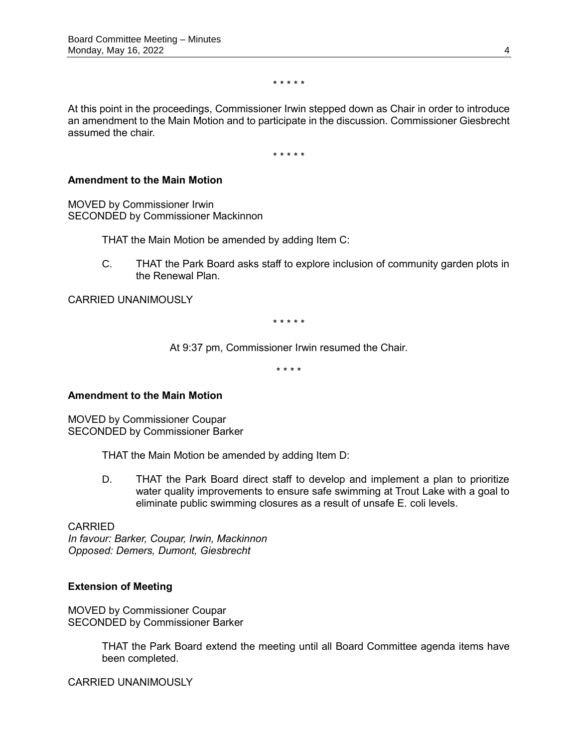\* \* \* \* \*

At this point in the proceedings, Commissioner Irwin stepped down as Chair in order to introduce an amendment to the Main Motion and to participate in the discussion. Commissioner Giesbrecht assumed the chair.

\* \* \* \* \*

### **Amendment to the Main Motion**

MOVED by Commissioner Irwin SECONDED by Commissioner Mackinnon

THAT the Main Motion be amended by adding Item C:

C. THAT the Park Board asks staff to explore inclusion of community garden plots in the Renewal Plan.

CARRIED UNANIMOUSLY

\* \* \* \* \*

At 9:37 pm, Commissioner Irwin resumed the Chair.

\* \* \* \*

### **Amendment to the Main Motion**

MOVED by Commissioner Coupar SECONDED by Commissioner Barker

THAT the Main Motion be amended by adding Item D:

D. THAT the Park Board direct staff to develop and implement a plan to prioritize water quality improvements to ensure safe swimming at Trout Lake with a goal to eliminate public swimming closures as a result of unsafe E. coli levels.

CARRIED *In favour: Barker, Coupar, Irwin, Mackinnon Opposed: Demers, Dumont, Giesbrecht*

### **Extension of Meeting**

MOVED by Commissioner Coupar SECONDED by Commissioner Barker

> THAT the Park Board extend the meeting until all Board Committee agenda items have been completed.

CARRIED UNANIMOUSLY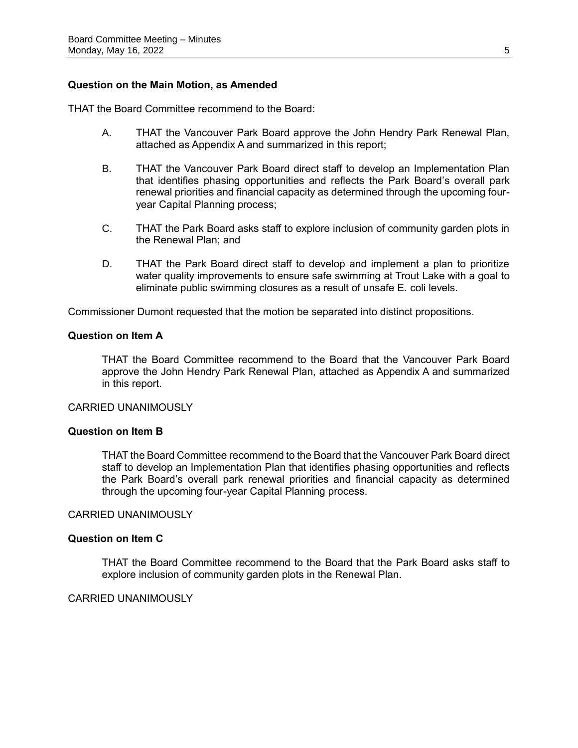### **Question on the Main Motion, as Amended**

THAT the Board Committee recommend to the Board:

- A. THAT the Vancouver Park Board approve the John Hendry Park Renewal Plan, attached as Appendix A and summarized in this report;
- B. THAT the Vancouver Park Board direct staff to develop an Implementation Plan that identifies phasing opportunities and reflects the Park Board's overall park renewal priorities and financial capacity as determined through the upcoming fouryear Capital Planning process;
- C. THAT the Park Board asks staff to explore inclusion of community garden plots in the Renewal Plan; and
- D. THAT the Park Board direct staff to develop and implement a plan to prioritize water quality improvements to ensure safe swimming at Trout Lake with a goal to eliminate public swimming closures as a result of unsafe E. coli levels.

Commissioner Dumont requested that the motion be separated into distinct propositions.

#### **Question on Item A**

THAT the Board Committee recommend to the Board that the Vancouver Park Board approve the John Hendry Park Renewal Plan, attached as Appendix A and summarized in this report.

#### CARRIED UNANIMOUSLY

### **Question on Item B**

THAT the Board Committee recommend to the Board that the Vancouver Park Board direct staff to develop an Implementation Plan that identifies phasing opportunities and reflects the Park Board's overall park renewal priorities and financial capacity as determined through the upcoming four-year Capital Planning process.

### CARRIED UNANIMOUSLY

#### **Question on Item C**

THAT the Board Committee recommend to the Board that the Park Board asks staff to explore inclusion of community garden plots in the Renewal Plan.

# CARRIED UNANIMOUSLY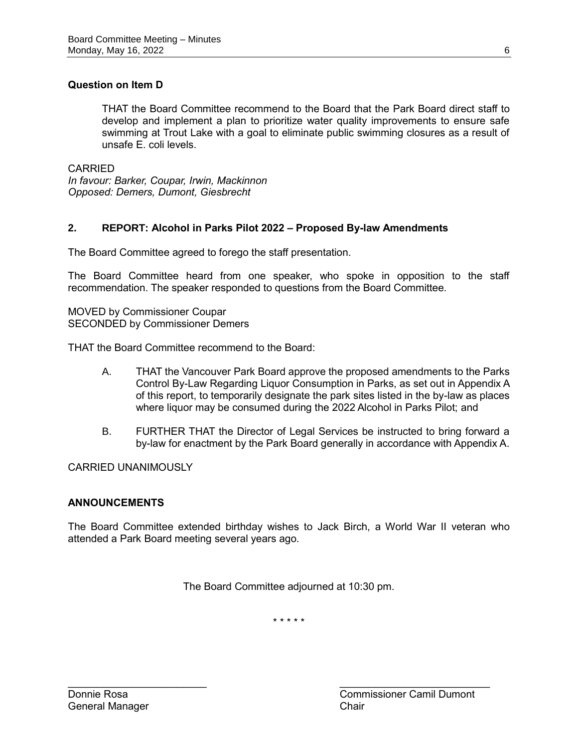# **Question on Item D**

THAT the Board Committee recommend to the Board that the Park Board direct staff to develop and implement a plan to prioritize water quality improvements to ensure safe swimming at Trout Lake with a goal to eliminate public swimming closures as a result of unsafe E. coli levels.

CARRIED *In favour: Barker, Coupar, Irwin, Mackinnon Opposed: Demers, Dumont, Giesbrecht*

# **2. REPORT: Alcohol in Parks Pilot 2022 – Proposed By-law Amendments**

The Board Committee agreed to forego the staff presentation.

The Board Committee heard from one speaker, who spoke in opposition to the staff recommendation. The speaker responded to questions from the Board Committee.

MOVED by Commissioner Coupar SECONDED by Commissioner Demers

THAT the Board Committee recommend to the Board:

- A. THAT the Vancouver Park Board approve the proposed amendments to the Parks Control By-Law Regarding Liquor Consumption in Parks, as set out in Appendix A of this report, to temporarily designate the park sites listed in the by-law as places where liquor may be consumed during the 2022 Alcohol in Parks Pilot; and
- B. FURTHER THAT the Director of Legal Services be instructed to bring forward a by-law for enactment by the Park Board generally in accordance with Appendix A.

CARRIED UNANIMOUSLY

# **ANNOUNCEMENTS**

The Board Committee extended birthday wishes to Jack Birch, a World War II veteran who attended a Park Board meeting several years ago.

The Board Committee adjourned at 10:30 pm.

\* \* \* \* \*

 $\mathcal{L}_\text{max}$  , and the contract of the contract of the contract of the contract of the contract of the contract of the contract of the contract of the contract of the contract of the contract of the contract of the contr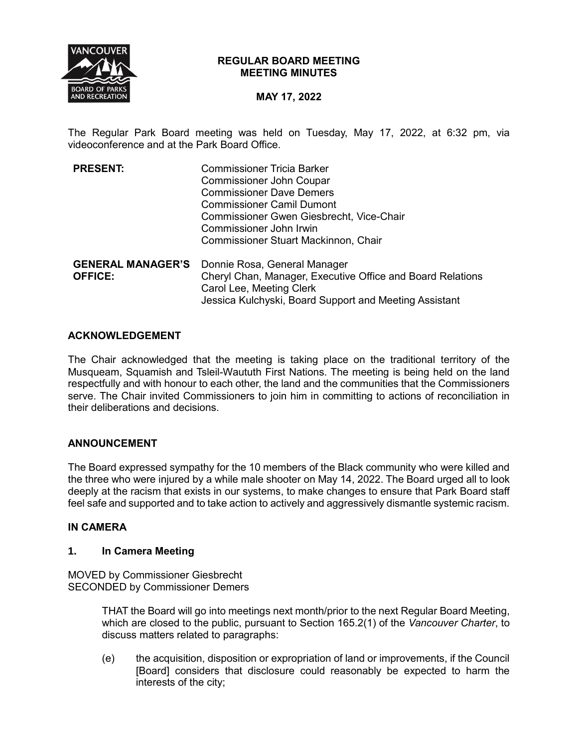

## **REGULAR BOARD MEETING MEETING MINUTES**

# **MAY 17, 2022**

The Regular Park Board meeting was held on Tuesday, May 17, 2022, at 6:32 pm, via videoconference and at the Park Board Office.

| <b>PRESENT:</b>          | <b>Commissioner Tricia Barker</b>                          |
|--------------------------|------------------------------------------------------------|
|                          | <b>Commissioner John Coupar</b>                            |
|                          | <b>Commissioner Dave Demers</b>                            |
|                          | <b>Commissioner Camil Dumont</b>                           |
|                          | Commissioner Gwen Giesbrecht, Vice-Chair                   |
|                          | Commissioner John Irwin                                    |
|                          | <b>Commissioner Stuart Mackinnon, Chair</b>                |
| <b>GENERAL MANAGER'S</b> | Donnie Rosa, General Manager                               |
| <b>OFFICE:</b>           | Cheryl Chan, Manager, Executive Office and Board Relations |
|                          | Carol Lee, Meeting Clerk                                   |
|                          | Jessica Kulchyski, Board Support and Meeting Assistant     |

## **ACKNOWLEDGEMENT**

The Chair acknowledged that the meeting is taking place on the traditional territory of the Musqueam, Squamish and Tsleil-Waututh First Nations. The meeting is being held on the land respectfully and with honour to each other, the land and the communities that the Commissioners serve. The Chair invited Commissioners to join him in committing to actions of reconciliation in their deliberations and decisions.

# **ANNOUNCEMENT**

The Board expressed sympathy for the 10 members of the Black community who were killed and the three who were injured by a while male shooter on May 14, 2022. The Board urged all to look deeply at the racism that exists in our systems, to make changes to ensure that Park Board staff feel safe and supported and to take action to actively and aggressively dismantle systemic racism.

### **IN CAMERA**

### **1. In Camera Meeting**

MOVED by Commissioner Giesbrecht SECONDED by Commissioner Demers

> THAT the Board will go into meetings next month/prior to the next Regular Board Meeting, which are closed to the public, pursuant to Section 165.2(1) of the *Vancouver Charter*, to discuss matters related to paragraphs:

> (e) the acquisition, disposition or expropriation of land or improvements, if the Council [Board] considers that disclosure could reasonably be expected to harm the interests of the city;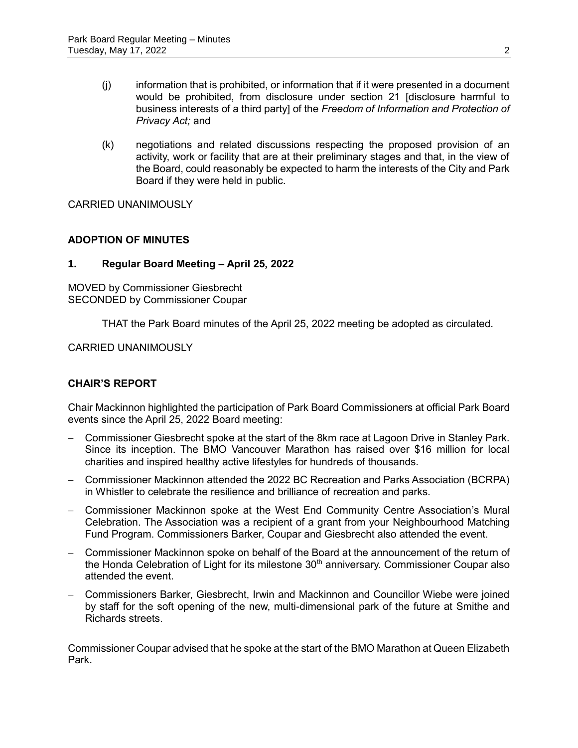- (j) information that is prohibited, or information that if it were presented in a document would be prohibited, from disclosure under section 21 [disclosure harmful to business interests of a third party] of the *Freedom of Information and Protection of Privacy Act;* and
- (k) negotiations and related discussions respecting the proposed provision of an activity, work or facility that are at their preliminary stages and that, in the view of the Board, could reasonably be expected to harm the interests of the City and Park Board if they were held in public.

CARRIED UNANIMOUSLY

# **ADOPTION OF MINUTES**

## **1. Regular Board Meeting – April 25, 2022**

MOVED by Commissioner Giesbrecht SECONDED by Commissioner Coupar

THAT the Park Board minutes of the April 25, 2022 meeting be adopted as circulated.

CARRIED UNANIMOUSLY

# **CHAIR'S REPORT**

Chair Mackinnon highlighted the participation of Park Board Commissioners at official Park Board events since the April 25, 2022 Board meeting:

- Commissioner Giesbrecht spoke at the start of the 8km race at Lagoon Drive in Stanley Park. Since its inception. The BMO Vancouver Marathon has raised over \$16 million for local charities and inspired healthy active lifestyles for hundreds of thousands.
- Commissioner Mackinnon attended the 2022 BC Recreation and Parks Association (BCRPA) in Whistler to celebrate the resilience and brilliance of recreation and parks.
- Commissioner Mackinnon spoke at the West End Community Centre Association's Mural Celebration. The Association was a recipient of a grant from your Neighbourhood Matching Fund Program. Commissioners Barker, Coupar and Giesbrecht also attended the event.
- Commissioner Mackinnon spoke on behalf of the Board at the announcement of the return of the Honda Celebration of Light for its milestone  $30<sup>th</sup>$  anniversary. Commissioner Coupar also attended the event.
- Commissioners Barker, Giesbrecht, Irwin and Mackinnon and Councillor Wiebe were joined by staff for the soft opening of the new, multi-dimensional park of the future at Smithe and Richards streets.

Commissioner Coupar advised that he spoke at the start of the BMO Marathon at Queen Elizabeth Park.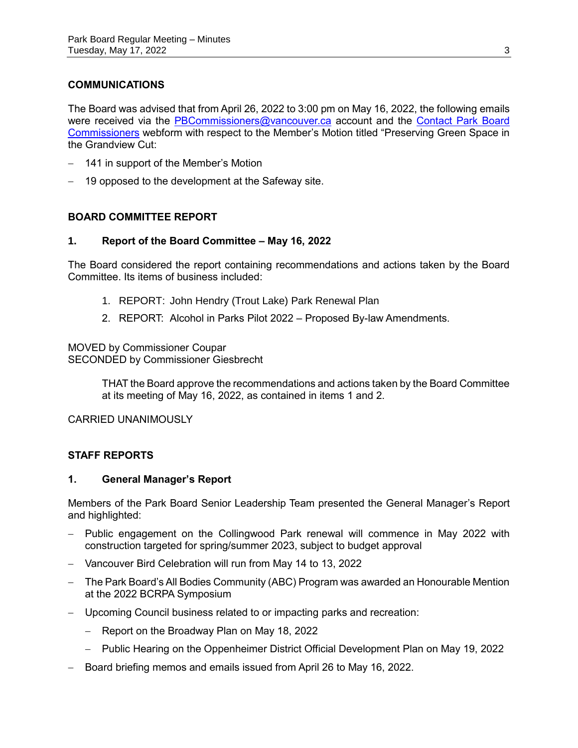# **COMMUNICATIONS**

The Board was advised that from April 26, 2022 to 3:00 pm on May 16, 2022, the following emails were received via the [PBCommissioners@vancouver.ca](mailto:PBCommissioners@vancouver.ca) account and the Contact Park Board [Commissioners](https://vancouver.ca/your-government/contact-park-board.aspx) webform with respect to the Member's Motion titled "Preserving Green Space in the Grandview Cut:

- 141 in support of the Member's Motion
- 19 opposed to the development at the Safeway site.

## **BOARD COMMITTEE REPORT**

### **1. Report of the Board Committee – May 16, 2022**

The Board considered the report containing recommendations and actions taken by the Board Committee. Its items of business included:

- 1. REPORT: John Hendry (Trout Lake) Park Renewal Plan
- 2. REPORT: Alcohol in Parks Pilot 2022 Proposed By-law Amendments.

MOVED by Commissioner Coupar SECONDED by Commissioner Giesbrecht

> THAT the Board approve the recommendations and actions taken by the Board Committee at its meeting of May 16, 2022, as contained in items 1 and 2.

CARRIED UNANIMOUSLY

### **STAFF REPORTS**

### **1. General Manager's Report**

Members of the Park Board Senior Leadership Team presented the General Manager's Report and highlighted:

- Public engagement on the Collingwood Park renewal will commence in May 2022 with construction targeted for spring/summer 2023, subject to budget approval
- Vancouver Bird Celebration will run from May 14 to 13, 2022
- The Park Board's All Bodies Community (ABC) Program was awarded an Honourable Mention at the 2022 BCRPA Symposium
- Upcoming Council business related to or impacting parks and recreation:
	- Report on the Broadway Plan on May 18, 2022
	- Public Hearing on the Oppenheimer District Official Development Plan on May 19, 2022
- Board briefing memos and emails issued from April 26 to May 16, 2022.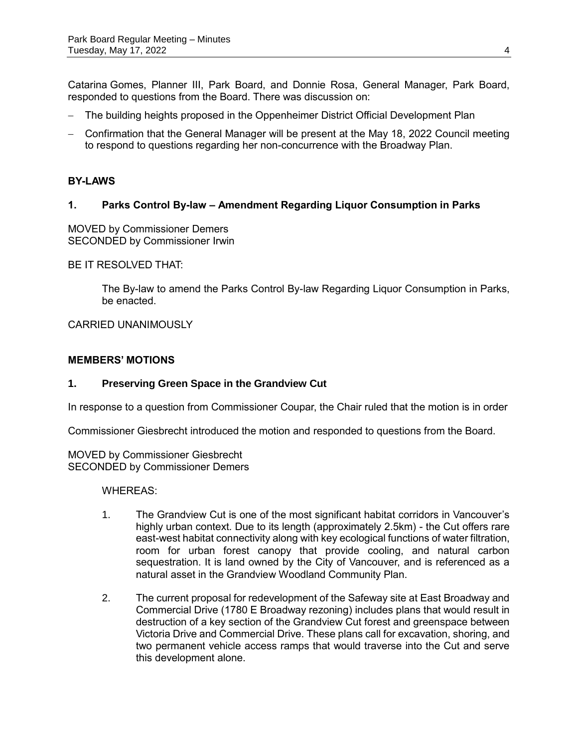Catarina Gomes, Planner III, Park Board, and Donnie Rosa, General Manager, Park Board, responded to questions from the Board. There was discussion on:

- The building heights proposed in the Oppenheimer District Official Development Plan
- Confirmation that the General Manager will be present at the May 18, 2022 Council meeting to respond to questions regarding her non-concurrence with the Broadway Plan.

## **BY-LAWS**

## **1. Parks Control By-law – Amendment Regarding Liquor Consumption in Parks**

MOVED by Commissioner Demers SECONDED by Commissioner Irwin

BE IT RESOLVED THAT:

The By-law to amend the Parks Control By-law Regarding Liquor Consumption in Parks, be enacted.

CARRIED UNANIMOUSLY

### **MEMBERS' MOTIONS**

### **1. Preserving Green Space in the Grandview Cut**

In response to a question from Commissioner Coupar, the Chair ruled that the motion is in order

Commissioner Giesbrecht introduced the motion and responded to questions from the Board.

MOVED by Commissioner Giesbrecht SECONDED by Commissioner Demers

WHEREAS:

- 1. The Grandview Cut is one of the most significant habitat corridors in Vancouver's highly urban context. Due to its length (approximately 2.5km) - the Cut offers rare east-west habitat connectivity along with key ecological functions of water filtration, room for urban forest canopy that provide cooling, and natural carbon sequestration. It is land owned by the City of Vancouver, and is referenced as a natural asset in the Grandview Woodland Community Plan.
- 2. The current proposal for redevelopment of the Safeway site at East Broadway and Commercial Drive (1780 E Broadway rezoning) includes plans that would result in destruction of a key section of the Grandview Cut forest and greenspace between Victoria Drive and Commercial Drive. These plans call for excavation, shoring, and two permanent vehicle access ramps that would traverse into the Cut and serve this development alone.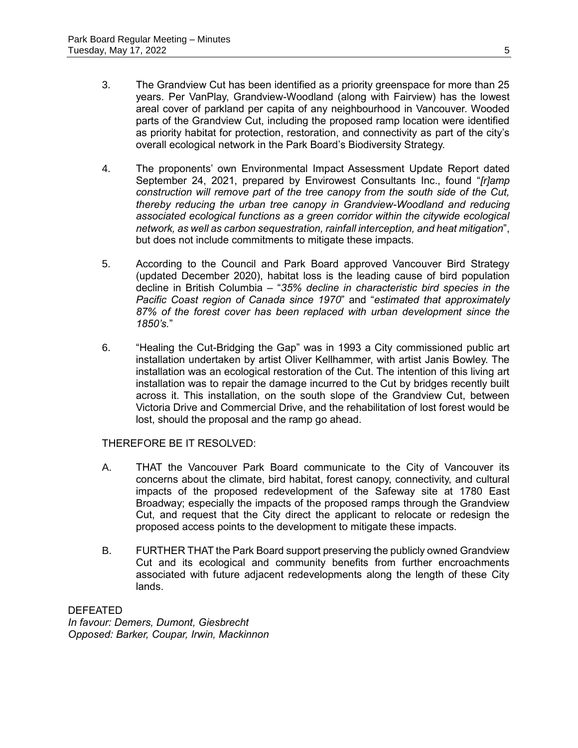- 3. The Grandview Cut has been identified as a priority greenspace for more than 25 years. Per VanPlay, Grandview-Woodland (along with Fairview) has the lowest areal cover of parkland per capita of any neighbourhood in Vancouver. Wooded parts of the Grandview Cut, including the proposed ramp location were identified as priority habitat for protection, restoration, and connectivity as part of the city's overall ecological network in the Park Board's Biodiversity Strategy.
- 4. The proponents' own Environmental Impact Assessment Update Report dated September 24, 2021, prepared by Envirowest Consultants Inc., found "*[r]amp construction will remove part of the tree canopy from the south side of the Cut, thereby reducing the urban tree canopy in Grandview-Woodland and reducing associated ecological functions as a green corridor within the citywide ecological network, as well as carbon sequestration, rainfall interception, and heat mitigation*", but does not include commitments to mitigate these impacts.
- 5. According to the Council and Park Board approved Vancouver Bird Strategy (updated December 2020), habitat loss is the leading cause of bird population decline in British Columbia – "*35% decline in characteristic bird species in the Pacific Coast region of Canada since 1970*" and "*estimated that approximately 87% of the forest cover has been replaced with urban development since the 1850's.*"
- 6. "Healing the Cut-Bridging the Gap" was in 1993 a City commissioned public art installation undertaken by artist Oliver Kellhammer, with artist Janis Bowley. The installation was an ecological restoration of the Cut. The intention of this living art installation was to repair the damage incurred to the Cut by bridges recently built across it. This installation, on the south slope of the Grandview Cut, between Victoria Drive and Commercial Drive, and the rehabilitation of lost forest would be lost, should the proposal and the ramp go ahead.

# THEREFORE BE IT RESOLVED:

- A. THAT the Vancouver Park Board communicate to the City of Vancouver its concerns about the climate, bird habitat, forest canopy, connectivity, and cultural impacts of the proposed redevelopment of the Safeway site at 1780 East Broadway; especially the impacts of the proposed ramps through the Grandview Cut, and request that the City direct the applicant to relocate or redesign the proposed access points to the development to mitigate these impacts.
- B. FURTHER THAT the Park Board support preserving the publicly owned Grandview Cut and its ecological and community benefits from further encroachments associated with future adjacent redevelopments along the length of these City lands.

DEFEATED *In favour: Demers, Dumont, Giesbrecht Opposed: Barker, Coupar, Irwin, Mackinnon*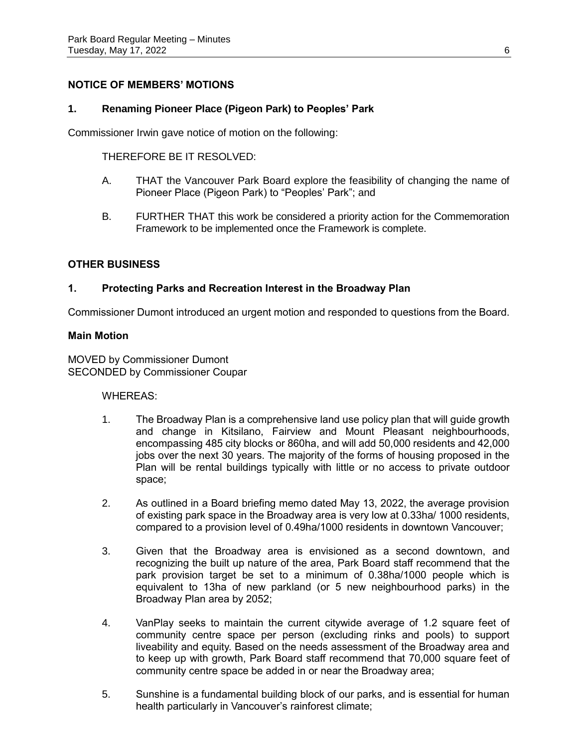# **NOTICE OF MEMBERS' MOTIONS**

### **1. Renaming Pioneer Place (Pigeon Park) to Peoples' Park**

Commissioner Irwin gave notice of motion on the following:

THEREFORE BE IT RESOLVED:

- A. THAT the Vancouver Park Board explore the feasibility of changing the name of Pioneer Place (Pigeon Park) to "Peoples' Park"; and
- B. FURTHER THAT this work be considered a priority action for the Commemoration Framework to be implemented once the Framework is complete.

## **OTHER BUSINESS**

## **1. Protecting Parks and Recreation Interest in the Broadway Plan**

Commissioner Dumont introduced an urgent motion and responded to questions from the Board.

### **Main Motion**

MOVED by Commissioner Dumont SECONDED by Commissioner Coupar

### WHEREAS:

- 1. The Broadway Plan is a comprehensive land use policy plan that will guide growth and change in Kitsilano, Fairview and Mount Pleasant neighbourhoods, encompassing 485 city blocks or 860ha, and will add 50,000 residents and 42,000 jobs over the next 30 years. The majority of the forms of housing proposed in the Plan will be rental buildings typically with little or no access to private outdoor space;
- 2. As outlined in a Board briefing memo dated May 13, 2022, the average provision of existing park space in the Broadway area is very low at 0.33ha/ 1000 residents, compared to a provision level of 0.49ha/1000 residents in downtown Vancouver;
- 3. Given that the Broadway area is envisioned as a second downtown, and recognizing the built up nature of the area, Park Board staff recommend that the park provision target be set to a minimum of 0.38ha/1000 people which is equivalent to 13ha of new parkland (or 5 new neighbourhood parks) in the Broadway Plan area by 2052;
- 4. VanPlay seeks to maintain the current citywide average of 1.2 square feet of community centre space per person (excluding rinks and pools) to support liveability and equity. Based on the needs assessment of the Broadway area and to keep up with growth, Park Board staff recommend that 70,000 square feet of community centre space be added in or near the Broadway area;
- 5. Sunshine is a fundamental building block of our parks, and is essential for human health particularly in Vancouver's rainforest climate;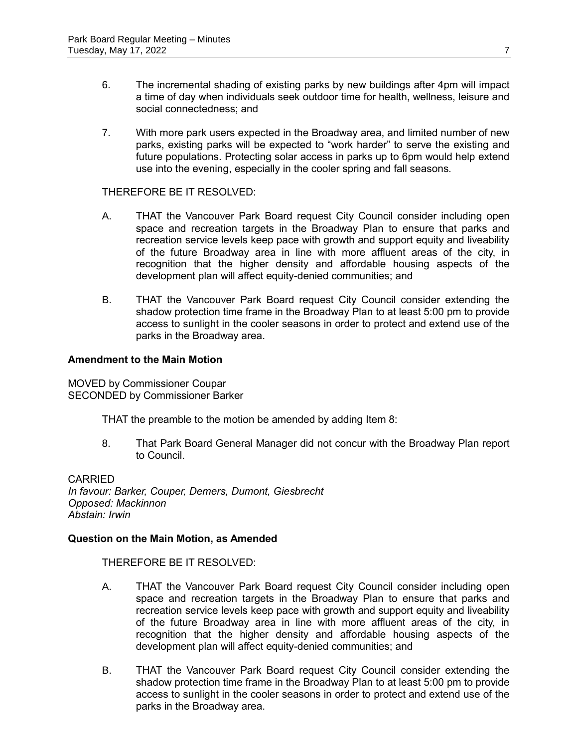- 6. The incremental shading of existing parks by new buildings after 4pm will impact a time of day when individuals seek outdoor time for health, wellness, leisure and social connectedness; and
- 7. With more park users expected in the Broadway area, and limited number of new parks, existing parks will be expected to "work harder" to serve the existing and future populations. Protecting solar access in parks up to 6pm would help extend use into the evening, especially in the cooler spring and fall seasons.

### THEREFORE BE IT RESOLVED:

- A. THAT the Vancouver Park Board request City Council consider including open space and recreation targets in the Broadway Plan to ensure that parks and recreation service levels keep pace with growth and support equity and liveability of the future Broadway area in line with more affluent areas of the city, in recognition that the higher density and affordable housing aspects of the development plan will affect equity-denied communities; and
- B. THAT the Vancouver Park Board request City Council consider extending the shadow protection time frame in the Broadway Plan to at least 5:00 pm to provide access to sunlight in the cooler seasons in order to protect and extend use of the parks in the Broadway area.

### **Amendment to the Main Motion**

MOVED by Commissioner Coupar SECONDED by Commissioner Barker

THAT the preamble to the motion be amended by adding Item 8:

8. That Park Board General Manager did not concur with the Broadway Plan report to Council.

CARRIED *In favour: Barker, Couper, Demers, Dumont, Giesbrecht Opposed: Mackinnon Abstain: Irwin*

### **Question on the Main Motion, as Amended**

THEREFORE BE IT RESOLVED:

- A. THAT the Vancouver Park Board request City Council consider including open space and recreation targets in the Broadway Plan to ensure that parks and recreation service levels keep pace with growth and support equity and liveability of the future Broadway area in line with more affluent areas of the city, in recognition that the higher density and affordable housing aspects of the development plan will affect equity-denied communities; and
- B. THAT the Vancouver Park Board request City Council consider extending the shadow protection time frame in the Broadway Plan to at least 5:00 pm to provide access to sunlight in the cooler seasons in order to protect and extend use of the parks in the Broadway area.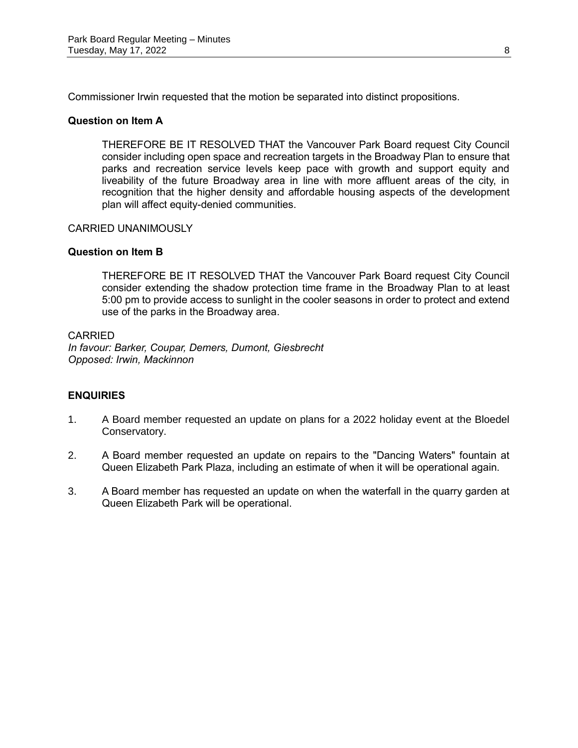Commissioner Irwin requested that the motion be separated into distinct propositions.

### **Question on Item A**

THEREFORE BE IT RESOLVED THAT the Vancouver Park Board request City Council consider including open space and recreation targets in the Broadway Plan to ensure that parks and recreation service levels keep pace with growth and support equity and liveability of the future Broadway area in line with more affluent areas of the city, in recognition that the higher density and affordable housing aspects of the development plan will affect equity-denied communities.

## CARRIED UNANIMOUSLY

## **Question on Item B**

THEREFORE BE IT RESOLVED THAT the Vancouver Park Board request City Council consider extending the shadow protection time frame in the Broadway Plan to at least 5:00 pm to provide access to sunlight in the cooler seasons in order to protect and extend use of the parks in the Broadway area.

### CARRIED

*In favour: Barker, Coupar, Demers, Dumont, Giesbrecht Opposed: Irwin, Mackinnon*

# **ENQUIRIES**

- 1. A Board member requested an update on plans for a 2022 holiday event at the Bloedel Conservatory.
- 2. A Board member requested an update on repairs to the "Dancing Waters" fountain at Queen Elizabeth Park Plaza, including an estimate of when it will be operational again.
- 3. A Board member has requested an update on when the waterfall in the quarry garden at Queen Elizabeth Park will be operational.